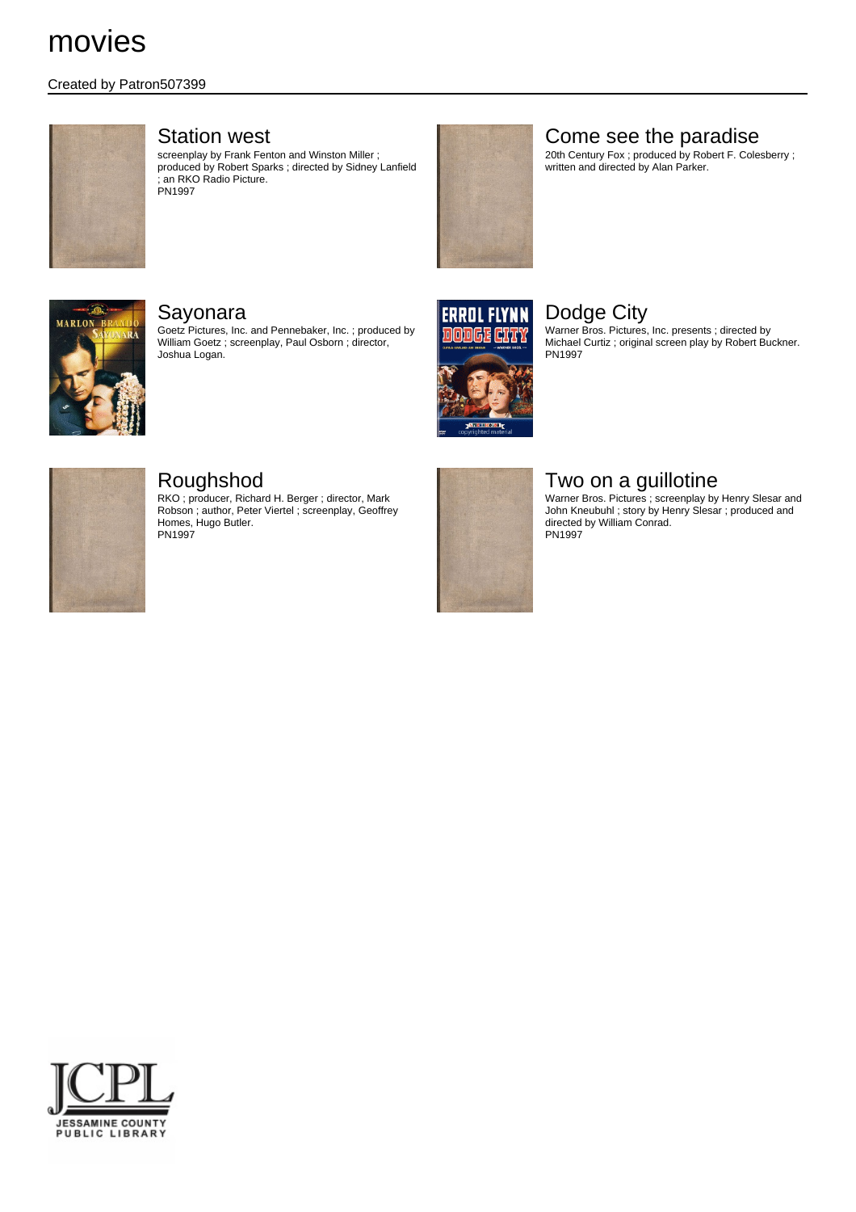### Created by Patron507399



### Station west

screenplay by Frank Fenton and Winston Miller ; produced by Robert Sparks ; directed by Sidney Lanfield ; an RKO Radio Picture. PN1997



# Come see the paradise

20th Century Fox ; produced by Robert F. Colesberry ; written and directed by Alan Parker.



### Sayonara

Goetz Pictures, Inc. and Pennebaker, Inc. ; produced by William Goetz ; screenplay, Paul Osborn ; director, Joshua Logan.



# Dodge City

Warner Bros. Pictures, Inc. presents ; directed by Michael Curtiz ; original screen play by Robert Buckner. PN1997



## Roughshod

RKO ; producer, Richard H. Berger ; director, Mark Robson ; author, Peter Viertel ; screenplay, Geoffrey Homes, Hugo Butler. PN<sub>1997</sub>



# Two on a guillotine

Warner Bros. Pictures ; screenplay by Henry Slesar and John Kneubuhl ; story by Henry Slesar ; produced and directed by William Conrad. PN1997

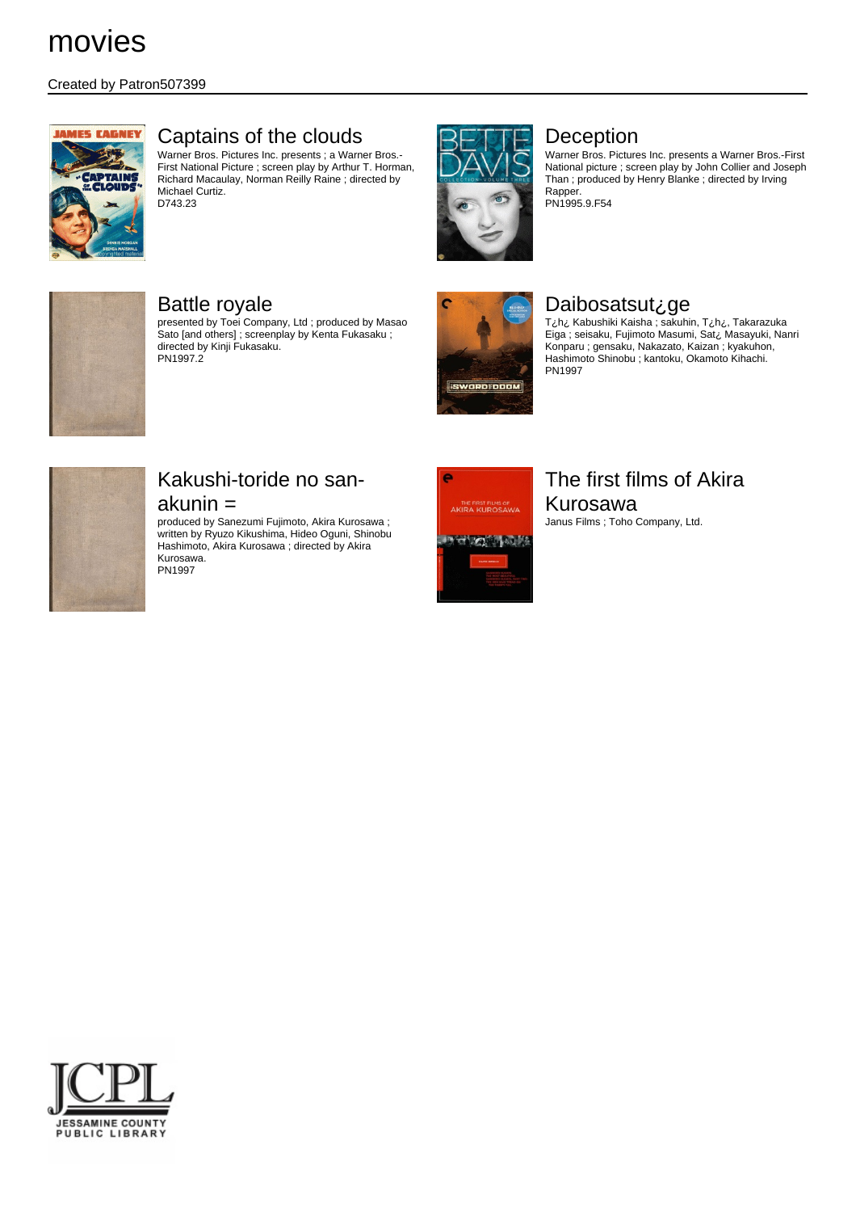### Created by Patron507399



# Captains of the clouds

Warner Bros. Pictures Inc. presents ; a Warner Bros.- First National Picture ; screen play by Arthur T. Horman, Richard Macaulay, Norman Reilly Raine ; directed by Michael Curtiz. D743.23



# Deception

Warner Bros. Pictures Inc. presents a Warner Bros.-First National picture ; screen play by John Collier and Joseph Than ; produced by Henry Blanke ; directed by Irving Rapper. PN1995.9.F54



# Battle royale

presented by Toei Company, Ltd ; produced by Masao Sato [and others] ; screenplay by Kenta Fukasaku ; directed by Kinji Fukasaku. PN1997.2



# Daibosatsut¿ge

T¿h¿ Kabushiki Kaisha ; sakuhin, T¿h¿, Takarazuka Eiga ; seisaku, Fujimoto Masumi, Sat¿ Masayuki, Nanri Konparu ; gensaku, Nakazato, Kaizan ; kyakuhon, Hashimoto Shinobu ; kantoku, Okamoto Kihachi. PN1997



# Kakushi-toride no sanakunin =

produced by Sanezumi Fujimoto, Akira Kurosawa ; written by Ryuzo Kikushima, Hideo Oguni, Shinobu Hashimoto, Akira Kurosawa ; directed by Akira Kurosawa. PN1997



# The first films of Akira Kurosawa

Janus Films ; Toho Company, Ltd.

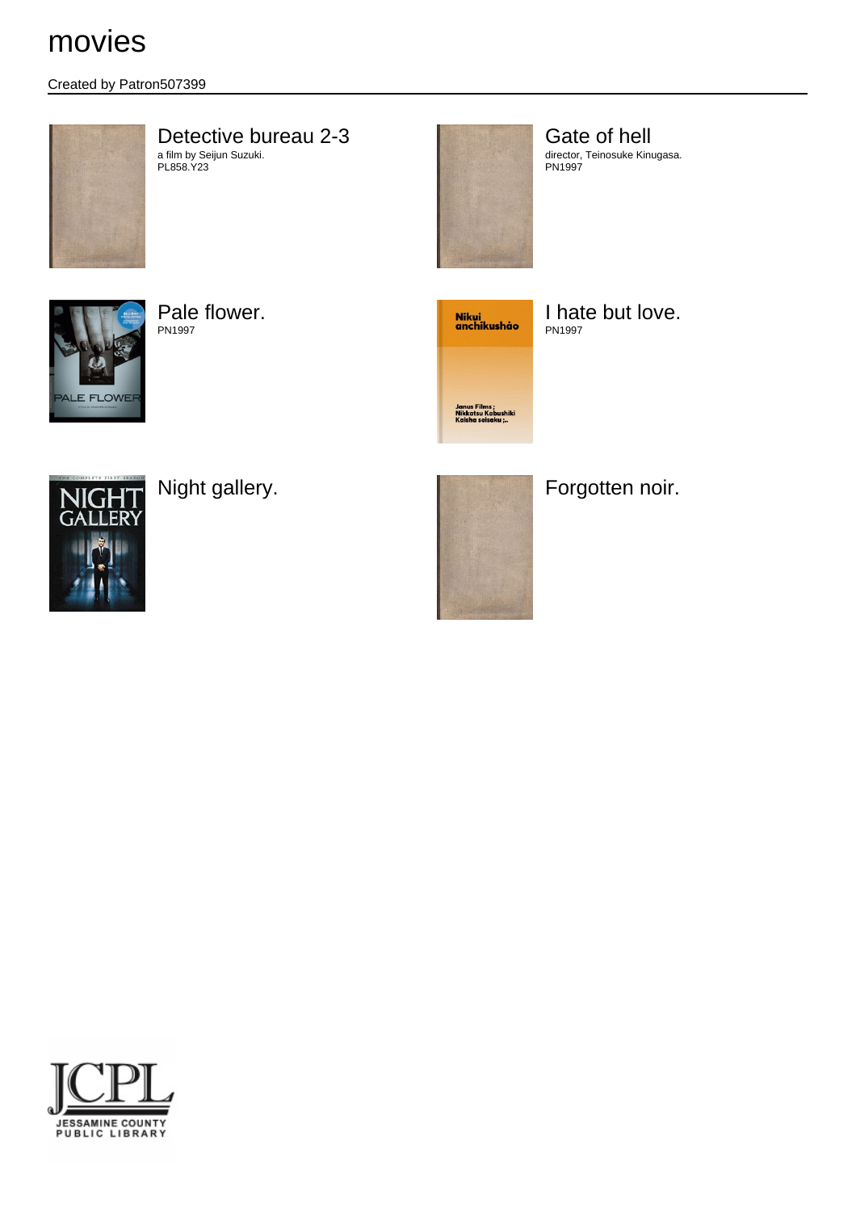## Created by Patron507399



#### Detective bureau 2-3 a film by Seijun Suzuki. PL858.Y23

Gate of hell director, Teinosuke Kinugasa. PN1997



Pale flower. PN1997



I hate but love. PN1997





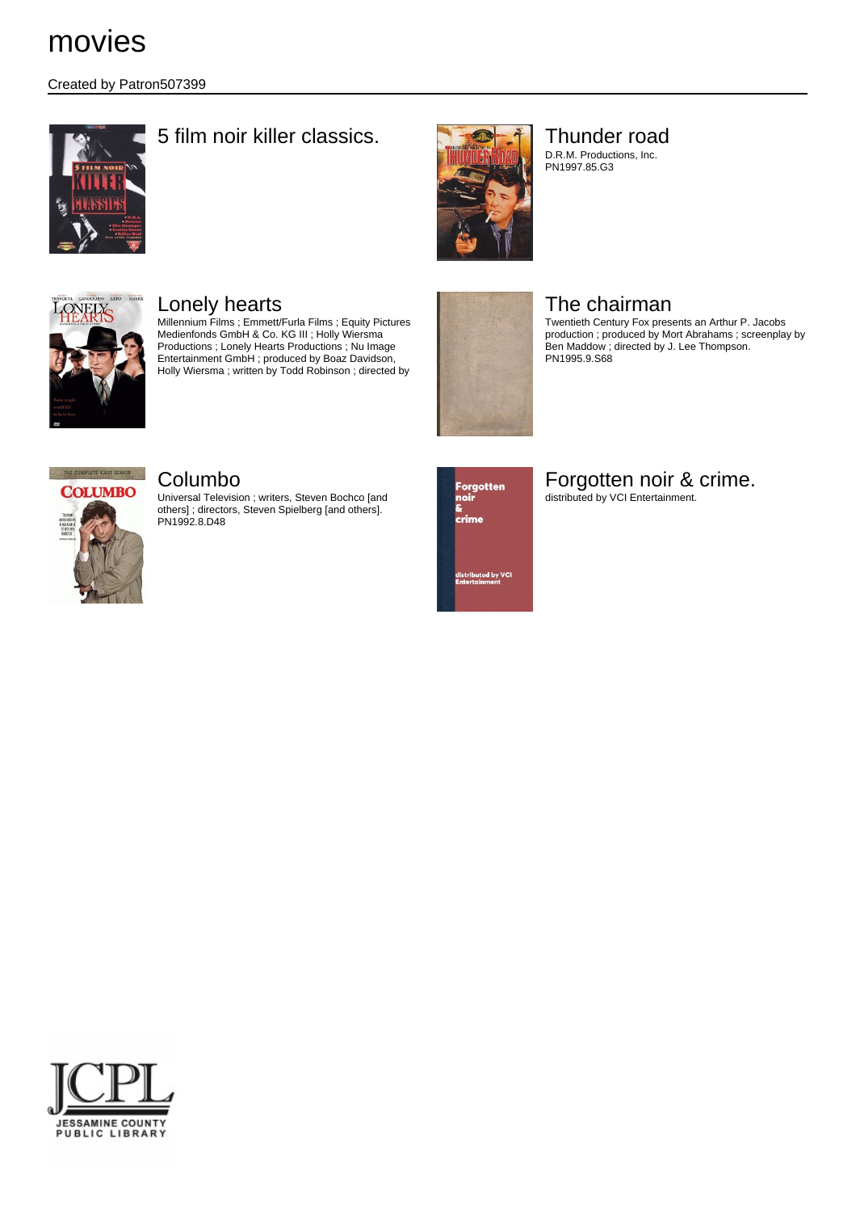Created by Patron507399



# 5 film noir killer classics. Thunder road



# D.R.M. Productions, Inc.

PN1997.85.G3



# Lonely hearts

Millennium Films ; Emmett/Furla Films ; Equity Pictures Medienfonds GmbH & Co. KG III ; Holly Wiersma Productions ; Lonely Hearts Productions ; Nu Image Entertainment GmbH ; produced by Boaz Davidson, Holly Wiersma ; written by Todd Robinson ; directed by



# The chairman

Twentieth Century Fox presents an Arthur P. Jacobs production ; produced by Mort Abrahams ; screenplay by Ben Maddow ; directed by J. Lee Thompson. PN1995.9.S68



## Columbo

Universal Television ; writers, Steven Bochco [and others] ; directors, Steven Spielberg [and others]. PN1992.8.D48



# Forgotten noir & crime.

distributed by VCI Entertainment.